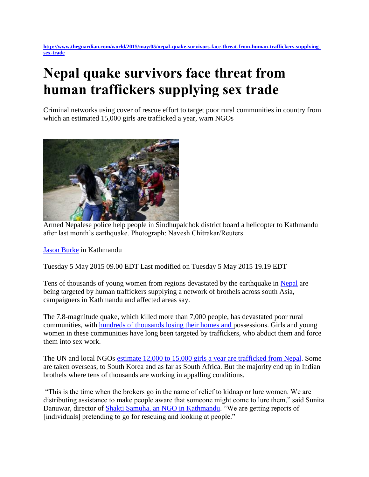**[http://www.theguardian.com/world/2015/may/05/nepal-quake-survivors-face-threat-from-human-traffickers-supplying](http://www.theguardian.com/world/2015/may/05/nepal-quake-survivors-face-threat-from-human-traffickers-supplying-sex-trade)[sex-trade](http://www.theguardian.com/world/2015/may/05/nepal-quake-survivors-face-threat-from-human-traffickers-supplying-sex-trade)**

## **Nepal quake survivors face threat from human traffickers supplying sex trade**

Criminal networks using cover of rescue effort to target poor rural communities in country from which an estimated 15,000 girls are trafficked a year, warn NGOs



Armed Nepalese police help people in Sindhupalchok district board a helicopter to Kathmandu after last month's earthquake. Photograph: Navesh Chitrakar/Reuters

[Jason Burke](http://www.theguardian.com/profile/jasonburke) in Kathmandu

Tuesday 5 May 2015 09.00 EDT Last modified on Tuesday 5 May 2015 19.19 EDT

Tens of thousands of young women from regions devastated by the earthquake in [Nepal](http://www.theguardian.com/world/nepal) are being targeted by human traffickers supplying a network of brothels across south Asia, campaigners in Kathmandu and affected areas say.

The 7.8-magnitude quake, which killed more than 7,000 people, has devastated poor rural communities, with [hundreds of thousands losing their homes and p](http://preview.gutools.co.uk/world/2015/may/02/nepal-earthquake-swarathok-victims-help-themselves)ossessions. Girls and young women in these communities have long been targeted by traffickers, who abduct them and force them into sex work.

The UN and local NGOs [estimate 12,000 to 15,000 girls a year are trafficked from Nepal.](http://un.org.np/oneun/undaf/migrant_workers) Some are taken overseas, to South Korea and as far as South Africa. But the majority end up in Indian brothels where tens of thousands are working in appalling conditions.

"This is the time when the brokers go in the name of relief to kidnap or lure women. We are distributing assistance to make people aware that someone might come to lure them," said Sunita Danuwar, director of [Shakti Samuha, an NGO in Kathmandu.](http://shaktisamuha.org.np/) "We are getting reports of [individuals] pretending to go for rescuing and looking at people."